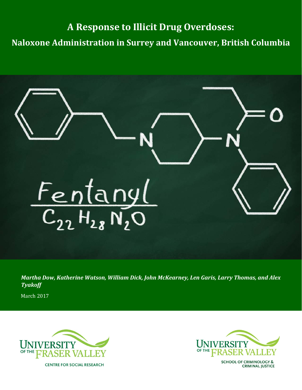# **A Response to Illicit Drug Overdoses:**

**Naloxone Administration in Surrey and Vancouver, British Columbia** 



*Martha Dow, Katherine Watson, William Dick, John McKearney, Len Garis, Larry Thomas, and Alex Tyakoff*

March 2017





SCHOOL OF CRIMINOLOGY &<br>CRIMINAL JUSTICE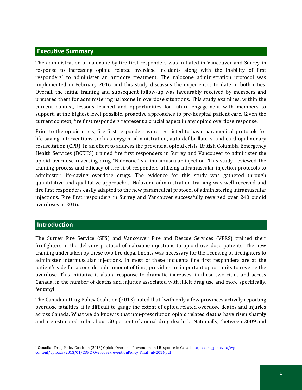## **Executive Summary**

The administration of naloxone by fire first responders was initiated in Vancouver and Surrey in response to increasing opioid related overdose incidents along with the inability of first responders' to administer an antidote treatment. The naloxone administration protocol was implemented in February 2016 and this study discusses the experiences to date in both cities. Overall, the initial training and subsequent follow-up was favourably received by members and prepared them for administering naloxone in overdose situations. This study examines, within the current context, lessons learned and opportunities for future engagement with members to support, at the highest level possible, proactive approaches to pre-hospital patient care. Given the current context, fire first responders represent a crucial aspect in any opioid overdose response.

Prior to the opioid crisis, fire first responders were restricted to basic paramedical protocols for life-saving interventions such as oxygen administration, auto defibrillators, and cardiopulmonary resuscitation (CPR). In an effort to address the provincial opioid crisis, British Columbia Emergency Health Services (BCEHS) trained fire first responders in Surrey and Vancouver to administer the opioid overdose reversing drug "Naloxone" via intramuscular injection. This study reviewed the training process and efficacy of fire first responders utilizing intramuscular injection protocols to administer life-saving overdose drugs. The evidence for this study was gathered through quantitative and qualitative approaches. Naloxone administration training was well-received and fire first responders easily adapted to the new paramedical protocol of administering intramuscular injections. Fire first responders in Surrey and Vancouver successfully reversed over 240 opioid overdoses in 2016.

## **Introduction**

j

The Surrey Fire Service (SFS) and Vancouver Fire and Rescue Services (VFRS) trained their firefighters in the delivery protocol of naloxone injections to opioid overdose patients. The new training undertaken by these two fire departments was necessary for the licensing of firefighters to administer intermuscular injections. In most of these incidents fire first responders are at the patient's side for a considerable amount of time, providing an important opportunity to reverse the overdose. This initiative is also a response to dramatic increases, in these two cities and across Canada, in the number of deaths and injuries associated with illicit drug use and more specifically, fentanyl.

The Canadian Drug Policy Coalition (2013) noted that "with only a few provinces actively reporting overdose fatalities, it is difficult to gauge the extent of opioid related overdose deaths and injuries across Canada. What we do know is that non-prescription opioid [re](#page-2-0)lated deaths have risen sharply and are estimated to be about 50 percent of annual drug deaths".1 Nationally, "between 2009 and

<span id="page-2-0"></span><sup>&</sup>lt;sup>1</sup> Canadian Drug Policy Coalition (2013) Opioid Overdose Prevention and Response in Canada [http://drugpolicy.ca/wp](http://drugpolicy.ca/wp-content/uploads/2013/01/CDPC_OverdosePreventionPolicy_Final_July2014.pdf)[content/uploads/2013/01/CDPC\\_OverdosePreventionPolicy\\_Final\\_July2014.pdf](http://drugpolicy.ca/wp-content/uploads/2013/01/CDPC_OverdosePreventionPolicy_Final_July2014.pdf)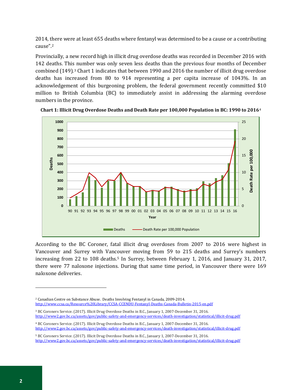2014, there were at least 655 deaths where fentanyl was determined to be a cause or a contributing cause".[2](#page-3-0)

Provincially, a new record high in illicit drug overdose deaths was recorded in December 2016 with 142 deaths. This number was only seven less deaths than the previous four months of December combined (149)[.3](#page-3-1) Chart 1 indicates that between 1990 and 2016 the number of illicit drug overdose deaths has increased from 80 to 914 representing a per capita increase of 1043%. In an acknowledgement of this burgeoning problem, the federal government recently committed \$10 million to British Columbia (BC) to immediately assist in addressing the alarming overdose numbers in the province.





According to the BC Coroner, fatal illicit drug overdoses from 2007 to 2016 were highest in Vancouver and Surrey with Vancouver moving from 59 to 215 deaths and Surrey's numbers increasing from 22 to 108 deaths.<sup>[5](#page-3-3)</sup> In Surrey, between February 1, 2016, and January 31, 2017, there were 77 naloxone injections. During that same time period, in Vancouver there were 169 naloxone deliveries.

<span id="page-3-0"></span><sup>2</sup> Canadian Centre on Substance Abuse. Deaths Involving Fentanyl in Canada, 2009-2014. <http://www.ccsa.ca/Resource%20Library/CCSA-CCENDU-Fentanyl-Deaths-Canada-Bulletin-2015-en.pdf>

<span id="page-3-1"></span><sup>3</sup> BC Coroners Service. (2017). Illicit Drug Overdose Deaths in B.C., January 1, 2007-December 31, 2016. <http://www2.gov.bc.ca/assets/gov/public-safety-and-emergency-services/death-investigation/statistical/illicit-drug.pdf>

<span id="page-3-2"></span><sup>4</sup> BC Coroners Service. (2017). Illicit Drug Overdose Deaths in B.C., January 1, 2007-December 31, 2016. <http://www2.gov.bc.ca/assets/gov/public-safety-and-emergency-services/death-investigation/statistical/illicit-drug.pdf>

<span id="page-3-3"></span><sup>5</sup> BC Coroners Service. (2017). Illicit Drug Overdose Deaths in B.C., January 1, 2007-December 31, 2016. <http://www2.gov.bc.ca/assets/gov/public-safety-and-emergency-services/death-investigation/statistical/illicit-drug.pdf>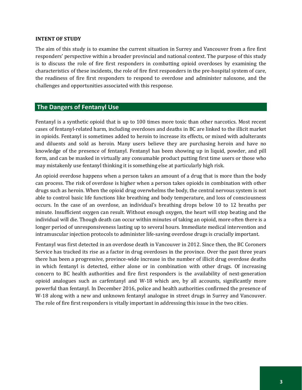#### **INTENT OF STUDY**

The aim of this study is to examine the current situation in Surrey and Vancouver from a fire first responders' perspective within a broader provincial and national context. The purpose of this study is to discuss the role of fire first responders in combatting opioid overdoses by examining the characteristics of these incidents, the role of fire first responders in the pre-hospital system of care, the readiness of fire first responders to respond to overdose and administer naloxone, and the challenges and opportunities associated with this response.

## **The Dangers of Fentanyl Use**

Fentanyl is a synthetic opioid that is up to 100 times more toxic than other narcotics. Most recent cases of fentanyl-related harm, including overdoses and deaths in BC are linked to the illicit market in opioids. Fentanyl is sometimes added to heroin to increase its effects, or mixed with adulterants and diluents and sold as heroin. Many users believe they are purchasing heroin and have no knowledge of the presence of fentanyl. Fentanyl has been showing up in liquid, powder, and pill form, and can be masked in virtually any consumable product putting first time users or those who may mistakenly use fentanyl thinking it is something else at particularly high risk.

An opioid overdose happens when a person takes an amount of a drug that is more than the body can process. The risk of overdose is higher when a person takes opioids in combination with other drugs such as heroin. When the opioid drug overwhelms the body, the central nervous system is not able to control basic life functions like breathing and body temperature, and loss of consciousness occurs. In the case of an overdose, an individual's breathing drops below 10 to 12 breaths per minute. Insufficient oxygen can result. Without enough oxygen, the heart will stop beating and the individual will die. Though death can occur within minutes of taking an opioid, more often there is a longer period of unresponsiveness lasting up to several hours. Immediate medical intervention and intramuscular injection protocols to administer life-saving overdose drugs is crucially important.

Fentanyl was first detected in an overdose death in Vancouver in 2012. Since then, the BC Coroners Service has tracked its rise as a factor in drug overdoses in the province. Over the past three years there has been a progressive, province-wide increase in the number of illicit drug overdose deaths in which fentanyl is detected, either alone or in combination with other drugs. Of increasing concern to BC health authorities and fire first responders is the availability of next-generation opioid analogues such as carfentanyl and W-18 which are, by all accounts, significantly more powerful than fentanyl. In December 2016, police and health authorities confirmed the presence of W-18 along with a new and unknown fentanyl analogue in street drugs in Surrey and Vancouver. The role of fire first responders is vitally important in addressing this issue in the two cities.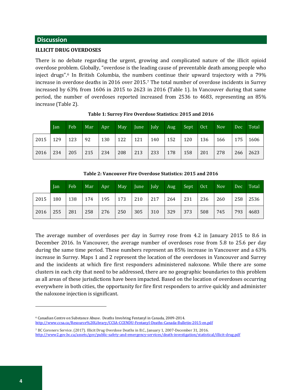#### **Discussion**

#### **ILLICIT DRUG OVERDOSES**

There is no debate regarding the urgent, growing and complicated nature of the illicit opioid overdose pro[bl](#page-5-0)em. Globally, "overdose is the leading cause of preventable death among people who inject drugs".<sup>6</sup> In British Columbia, the numbers continue their upward trajectory with a 79% increase in overdose deaths in 2016 over 2015.[7](#page-5-1) The total number of overdose incidents in Surrey increased by 63% from 1606 in 2015 to 2623 in 2016 (Table 1). In Vancouver during that same period, the number of overdoses reported increased from 2536 to 4683, representing an 85% increase (Table 2).

|              | Jan | Feb | Mar | Apr | May | June <sup>1</sup> | $\vert$ July | Aug | Sept / | 0ct | <b>Nov</b> | Dec | Total |
|--------------|-----|-----|-----|-----|-----|-------------------|--------------|-----|--------|-----|------------|-----|-------|
| 2015         | 129 | 123 | 92  | 130 | 122 | 121               | 140          | 152 | 120    | 136 | 166        | 175 | 1606  |
| $2016$   234 |     | 205 | 215 | 234 | 208 | 213               | 233          | 178 | 158    | 201 | 278        | 266 | 2623  |

**Table 1: Surrey Fire Overdose Statistics: 2015 and 2016**

| Table 2: Vancouver Fire Overdose Statistics: 2015 and 2016 |  |  |  |  |  |  |  |  |  |  |  |  |
|------------------------------------------------------------|--|--|--|--|--|--|--|--|--|--|--|--|
|                                                            |  |  |  |  |  |  |  |  |  |  |  |  |

|      | Jan | Feb | Mar | Apr | May | June | July | Aug <sup>1</sup> | Sept | Oct | <b>Nov</b> | Dec | Total |
|------|-----|-----|-----|-----|-----|------|------|------------------|------|-----|------------|-----|-------|
| 2015 | 180 | 138 | 174 | 195 | 173 | 210  | 217  | 264              | 231  | 236 | 260        | 258 | 2536  |
| 2016 | 255 | 281 | 258 | 276 | 250 | 305  | 310  | 329              | 373  | 508 | 745        | 793 | 4683  |

The average number of overdoses per day in Surrey rose from 4.2 in January 2015 to 8.6 in December 2016. In Vancouver, the average number of overdoses rose from 5.8 to 25.6 per day during the same time period. These numbers represent an 85% increase in Vancouver and a 63% increase in Surrey. Maps 1 and 2 represent the location of the overdoses in Vancouver and Surrey and the incidents at which fire first responders administered naloxone. While there are some clusters in each city that need to be addressed, there are no geographic boundaries to this problem as all areas of these jurisdictions have been impacted. Based on the location of overdoses occurring everywhere in both cities, the opportunity for fire first responders to arrive quickly and administer the naloxone injection is significant.

<span id="page-5-0"></span><sup>6</sup> Canadian Centre on Substance Abuse. Deaths Involving Fentanyl in Canada, 2009-2014. <http://www.ccsa.ca/Resource%20Library/CCSA-CCENDU-Fentanyl-Deaths-Canada-Bulletin-2015-en.pdf>

<span id="page-5-1"></span><sup>7</sup> BC Coroners Service. (2017). Illicit Drug Overdose Deaths in B.C., January 1, 2007-December 31, 2016. <http://www2.gov.bc.ca/assets/gov/public-safety-and-emergency-services/death-investigation/statistical/illicit-drug.pdf>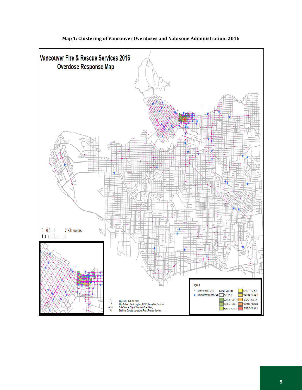

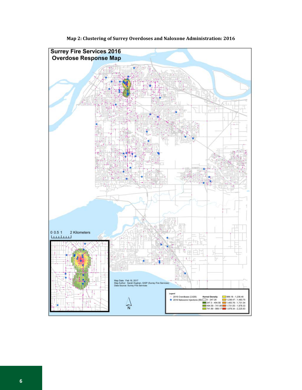

**Map 2: Clustering of Surrey Overdoses and Naloxone Administration: 2016**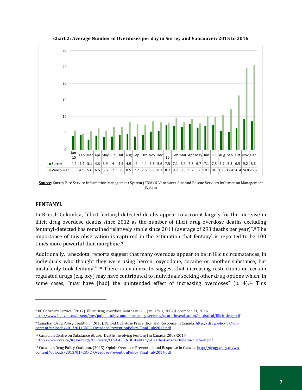

**Chart 2: Average Number of Overdoses per day in Surrey and Vancouver: 2015 to 2016**

#### **FENTANYL**

j

In British Columbia, "illicit fentanyl-detected deaths appear to account largely for the increase in illicit drug overdose deaths since 2012 as the number of illicit drug overdose deaths excluding fentanyl-detected has remained relatively stable since 2011 (average of 293 deaths per year)".[8](#page-8-0) The importance of this observation is c[ap](#page-8-1)tured in the estimation that fentanyl is reported to be 100 times more powerful than morphine.<sup>9</sup>

Additionally, "anecdotal reports suggest that many overdoes appear to be in illicit circumstances, in individuals who thought they were using heroin, oxycodone, cocaine or another substance, but mistakenly took fentanyl".[10](#page-8-2) There is evidence to suggest that increasing restrictions on certain regulated drugs (e.g. oxy) may have contributed to individuals seeking other drug options which, in some cases, "may have [had] the unintended effect of increasing overdoses" (p. 4).<sup>[11](#page-8-3)</sup> This

**Source:** Surrey Fire Service Information Management System (FDM) & Vancouver Fire and Rescue Services Information Management System

<span id="page-8-0"></span><sup>8</sup> BC Coroners Service. (2017). Illicit Drug Overdose Deaths in B.C., January 1, 2007-December 31, 2016. <http://www2.gov.bc.ca/assets/gov/public-safety-and-emergency-services/death-investigation/statistical/illicit-drug.pdf>

<span id="page-8-1"></span><sup>9</sup> Canadian Drug Policy Coalition. (2013). Opioid Overdose Prevention and Response in Canada[. http://drugpolicy.ca/wp](http://drugpolicy.ca/wp-content/uploads/2013/01/CDPC_OverdosePreventionPolicy_Final_July2014.pdf)[content/uploads/2013/01/CDPC\\_OverdosePreventionPolicy\\_Final\\_July2014.pdf](http://drugpolicy.ca/wp-content/uploads/2013/01/CDPC_OverdosePreventionPolicy_Final_July2014.pdf)

<span id="page-8-2"></span><sup>10</sup> Canadian Centre on Substance Abuse. Deaths Involving Fentanyl in Canada, 2009-2014. <http://www.ccsa.ca/Resource%20Library/CCSA-CCENDU-Fentanyl-Deaths-Canada-Bulletin-2015-en.pdf>

<span id="page-8-3"></span><sup>11</sup> Canadian Drug Policy Coalition. (2013). Opioid Overdose Prevention and Response in Canada[. http://drugpolicy.ca/wp](http://drugpolicy.ca/wp-content/uploads/2013/01/CDPC_OverdosePreventionPolicy_Final_July2014.pdf)[content/uploads/2013/01/CDPC\\_OverdosePreventionPolicy\\_Final\\_July2014.pdf](http://drugpolicy.ca/wp-content/uploads/2013/01/CDPC_OverdosePreventionPolicy_Final_July2014.pdf)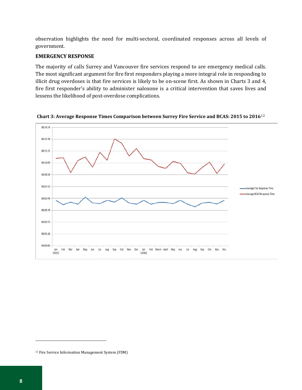observation highlights the need for multi-sectoral, coordinated responses across all levels of government.

#### **EMERGENCY RESPONSE**

The majority of calls Surrey and Vancouver fire services respond to are emergency medical calls. The most significant argument for fire first responders playing a more integral role in responding to illicit drug overdoses is that fire services is likely to be on-scene first. As shown in Charts 3 and 4, fire first responder's ability to administer naloxone is a critical intervention that saves lives and lessens the likelihood of post-overdose complications.



**Chart 3: Average Response Times Comparison between Surrey Fire Service and BCAS: 2015 to 2016**[12](#page-9-0)

<span id="page-9-0"></span><sup>12</sup> Fire Service Information Management System (FDM)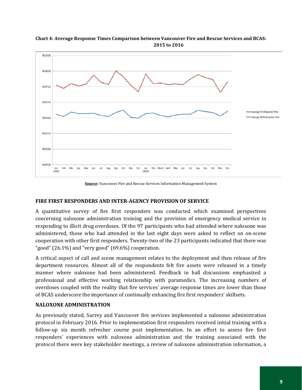

**Chart 4: Average Response Times Comparison between Vancouver Fire and Rescue Services and BCAS: 2015 to 2016**

**Source:** Vancouver Fire and Rescue Services Information Management System

#### **FIRE FIRST RESPONDERS AND INTER-AGENCY PROVISION OF SERVICE**

A quantitative survey of fire first responders was conducted which examined perspectives concerning naloxone administration training and the provision of emergency medical service in responding to illicit drug overdoses. Of the 97 participants who had attended where naloxone was administered, those who had attended in the last eight days were asked to reflect on on-scene cooperation with other first responders. Twenty-two of the 23 participants indicated that there was "good"  $(26.1\%)$  and "very good"  $(69.6\%)$  cooperation.

A critical aspect of call and scene management relates to the deployment and then release of fire department resources. Almost all of the respondents felt fire assets were released in a timely manner where naloxone had been administered. Feedback in hall discussions emphasized a professional and effective working relationship with paramedics. The increasing numbers of overdoses coupled with the reality that fire services' average response times are lower than those of BCAS underscore the importance of continually enhancing fire first responders' skillsets.

#### **NALOXONE ADMINISTRATION**

As previously stated, Surrey and Vancouver fire services implemented a naloxone administration protocol in February 2016. Prior to implementation first responders received initial training with a follow-up six month refresher course post implementation. In an effort to assess fire first responders' experiences with naloxone administration and the training associated with the protocol there were key stakeholder meetings, a review of naloxone administration information, a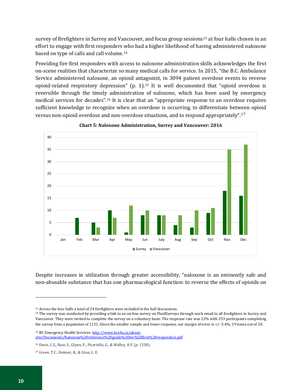survey of firefighters in Surrey and Vancouver, and focus group sessions<sup>[13](#page-11-0)</sup> at four halls chosen in an effort to engage with first responders who had a higher likelihood of having administered naloxone based on type of calls and call volume.[14](#page-11-1) 

Providing fire first responders with access to naloxone administration skills acknowledges the first on-scene realities that characterize so many medical calls for service. In 2015, "the B.C. Ambulance Service administered naloxone, an opioid antagonist, in 3094 patient overdose events to reverse opioid-related respiratory depression" (p. 1).[15](#page-11-2) It is well documented that "opioid overdose is reversible through the timely administration of naloxone, which has been used by emergency medical services for decades"[.16](#page-11-3) It is clear that an "appropriate response to an overdose requires sufficient knowledge to recognize when an overdose is occurring, to differentiate between opioid versus non-opioid overdose and non-overdose situations, and to respond appropriately".[17](#page-11-4) 



**Chart 5: Naloxone Administration, Surrey and Vancouver: 2016**

Despite increases in utilization through greater accessibility, "naloxone is an eminently safe and non-abusable substance that has one pharmacological function: to reverse the effects of opioids on

<span id="page-11-2"></span><sup>15</sup> BC Emergency Health Services[: http://www.bcehs.ca/about](http://www.bcehs.ca/about-site/Documents/Naloxone%20reference%20guide%20for%20first%20responders.pdf)[site/Documents/Naloxone%20reference%20guide%20for%20first%20responders.pdf](http://www.bcehs.ca/about-site/Documents/Naloxone%20reference%20guide%20for%20first%20responders.pdf)

<span id="page-11-0"></span><sup>13</sup> Across the four halls a total of 24 firefighters were included in the hall discussions.

<span id="page-11-1"></span><sup>&</sup>lt;sup>14</sup> The survey was conducted by providing a link to an on-line survey on FluidSurveys through work email to all firefighters in Surrey and Vancouver. They were invited to complete the survey on a voluntary basis. The response rate was 22% with 253 participants completing the survey from a population of 1131. Given the smaller sample and lower response, our margin of error is +/- 5.4%, 19 times out of 20.

<span id="page-11-3"></span><sup>16</sup> Davis, C.S., Ruiz, S., Glynn, P., Picariello, G., & Walley, A.Y. (p. 1530).

<span id="page-11-4"></span><sup>17</sup> Green, T.C., Heimer, R., & Grau, L. E.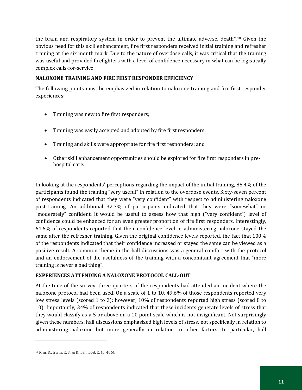the brain and respiratory system in order to prevent the ultimate adverse, death".[18](#page-12-0) Given the obvious need for this skill enhancement, fire first responders received initial training and refresher training at the six month mark. Due to the nature of overdose calls, it was critical that the training was useful and provided firefighters with a level of confidence necessary in what can be logistically complex calls-for-service.

## **NALOXONE TRAINING AND FIRE FIRST RESPONDER EFFICIENCY**

The following points must be emphasized in relation to naloxone training and fire first responder experiences:

- Training was new to fire first responders;
- Training was easily accepted and adopted by fire first responders;
- Training and skills were appropriate for fire first responders; and
- Other skill enhancement opportunities should be explored for fire first responders in prehospital care.

In looking at the respondents' perceptions regarding the impact of the initial training, 85.4% of the participants found the training "very useful" in relation to the overdose events. Sixty-seven percent of respondents indicated that they were "very confident" with respect to administering naloxone post-training. An additional 32.7% of participants indicated that they were "somewhat" or "moderately" confident. It would be useful to assess how that high ("very confident") level of confidence could be enhanced for an even greater proportion of fire first responders. Interestingly, 64.6% of respondents reported that their confidence level in administering naloxone stayed the same after the refresher training. Given the original confidence levels reported, the fact that 100% of the respondents indicated that their confidence increased or stayed the same can be viewed as a positive result. A common theme in the hall discussions was a general comfort with the protocol and an endorsement of the usefulness of the training with a concomitant agreement that "more training is never a bad thing".

## **EXPERIENCES ATTENDING A NALOXONE PROTOCOL CALL-OUT**

At the time of the survey, three quarters of the respondents had attended an incident where the naloxone protocol had been used. On a scale of 1 to 10, 49.6% of those respondents reported very low stress levels (scored 1 to 3); however, 10% of respondents reported high stress (scored 8 to 10). Importantly, 34% of respondents indicated that these incidents generate levels of stress that they would classify as a 5 or above on a 10 point scale which is not insignificant. Not surprisingly given these numbers, hall discussions emphasized high levels of stress, not specifically in relation to administering naloxone but more generally in relation to other factors. In particular, hall

<span id="page-12-0"></span><sup>18</sup> Kim, D., Irwin, K. S., & Khoshnood, K. (p. 406).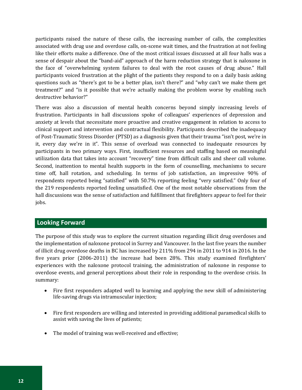participants raised the nature of these calls, the increasing number of calls, the complexities associated with drug use and overdose calls, on-scene wait times, and the frustration at not feeling like their efforts make a difference. One of the most critical issues discussed at all four halls was a sense of despair about the "band-aid" approach of the harm reduction strategy that is naloxone in the face of "overwhelming system failures to deal with the root causes of drug abuse." Hall participants voiced frustration at the plight of the patients they respond to on a daily basis asking questions such as "there's got to be a better plan, isn't there?" and "why can't we make them get treatment?" and "is it possible that we're actually making the problem worse by enabling such destructive behavior?"

There was also a discussion of mental health concerns beyond simply increasing levels of frustration. Participants in hall discussions spoke of colleagues' experiences of depression and anxiety at levels that necessitate more proactive and creative engagement in relation to access to clinical support and intervention and contractual flexibility. Participants described the inadequacy of Post-Traumatic Stress Disorder (PTSD) as a diagnosis given that their trauma "isn't post, we're in it, every day we're in it". This sense of overload was connected to inadequate resources by participants in two primary ways. First, insufficient resources and staffing based on meaningful utilization data that takes into account "recovery" time from difficult calls and sheer call volume. Second, inattention to mental health supports in the form of counselling, mechanisms to secure time off, hall rotation, and scheduling. In terms of job satisfaction, an impressive 90% of respondents reported being "satisfied" with 50.7% reporting feeling "very satisfied." Only four of the 219 respondents reported feeling unsatisfied. One of the most notable observations from the hall discussions was the sense of satisfaction and fulfillment that firefighters appear to feel for their jobs.

# **Looking Forward**

The purpose of this study was to explore the current situation regarding illicit drug overdoses and the implementation of naloxone protocol in Surrey and Vancouver. In the last five years the number of illicit drug overdose deaths in BC has increased by 211% from 294 in 2011 to 914 in 2016. In the five years prior (2006-2011) the increase had been 28%. This study examined firefighters' experiences with the naloxone protocol training, the administration of naloxone in response to overdose events, and general perceptions about their role in responding to the overdose crisis. In summary:

- Fire first responders adapted well to learning and applying the new skill of administering life-saving drugs via intramuscular injection;
- Fire first responders are willing and interested in providing additional paramedical skills to assist with saving the lives of patients;
- The model of training was well-received and effective;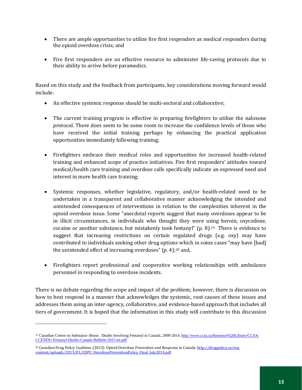- There are ample opportunities to utilize fire first responders as medical responders during the opioid overdose crisis; and
- Fire first responders are an effective resource to administer life-saving protocols due to their ability to arrive before paramedics.

Based on this study and the feedback from participants, key considerations moving forward would include:

- An effective systemic response should be multi-sectoral and collaborative;
- The current training program is effective in preparing firefighters to utilize the naloxone protocol. There does seem to be some room to increase the confidence levels of those who have received the initial training perhaps by enhancing the practical application opportunities immediately following training;
- Firefighters embrace their medical roles and opportunities for increased health-related training and enhanced scope of practice initiatives. Fire first responders' attitudes toward medical/health care training and overdose calls specifically indicate an expressed need and interest in more health care training;
- Systemic responses, whether legislative, regulatory, and/or health-related need to be undertaken in a transparent and collaborative manner acknowledging the intended and unintended consequences of interventions in relation to the complexities inherent in the opioid overdose issue. Some "anecdotal reports suggest that many overdoses appear to be in illicit circumstances, in individuals who thought they were using heroin, oxycodone, cocaine or another substance, but mistakenly took fentanyl"  $(p, 8)$ .<sup>19</sup> There is evidence to suggest that increasing restrictions on certain regulated drugs (e.g. oxy) may have contributed to individuals seeking other drug options which in some cases "may have [had] the unintended effect of increasing overdoses" (p. 4);[20](#page-14-1) and,
- Firefighters report professional and cooperative working relationships with ambulance personnel in responding to overdose incidents.

There is no debate regarding the scope and impact of the problem; however, there is discussion on how to best respond in a manner that acknowledges the systemic, root causes of these issues and addresses them using an inter-agency, collaborative, and evidence-based approach that includes all tiers of government. It is hoped that the information in this study will contribute to this discussion

<span id="page-14-0"></span><sup>19</sup> Canadian Centre on Substance Abuse. Deaths Involving Fentanyl in Canada, 2009-2014. [http://www.ccsa.ca/Resource%20Library/CCSA-](http://www.ccsa.ca/Resource%20Library/CCSA-CCENDU-Fentanyl-Deaths-Canada-Bulletin-2015-en.pdf)[CCENDU-Fentanyl-Deaths-Canada-Bulletin-2015-en.pdf](http://www.ccsa.ca/Resource%20Library/CCSA-CCENDU-Fentanyl-Deaths-Canada-Bulletin-2015-en.pdf)

<span id="page-14-1"></span><sup>&</sup>lt;sup>20</sup> Canadian Drug Policy Coalition. (2013). Opioid Overdose Prevention and Response in Canada[. http://drugpolicy.ca/wp](http://drugpolicy.ca/wp-content/uploads/2013/01/CDPC_OverdosePreventionPolicy_Final_July2014.pdf)[content/uploads/2013/01/CDPC\\_OverdosePreventionPolicy\\_Final\\_July2014.pdf](http://drugpolicy.ca/wp-content/uploads/2013/01/CDPC_OverdosePreventionPolicy_Final_July2014.pdf)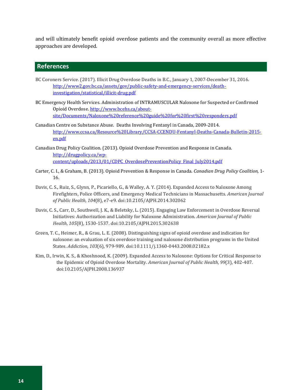and will ultimately benefit opioid overdose patients and the community overall as more effective approaches are developed.

# **References**

- BC Coroners Service. (2017). Illicit Drug Overdose Deaths in B.C., January 1, 2007-December 31, 2016. [http://www2.gov.bc.ca/assets/gov/public-safety-and-emergency-services/death](http://www2.gov.bc.ca/assets/gov/public-safety-and-emergency-services/death-investigation/statistical/illicit-drug.pdf)[investigation/statistical/illicit-drug.pdf](http://www2.gov.bc.ca/assets/gov/public-safety-and-emergency-services/death-investigation/statistical/illicit-drug.pdf)
- BC Emergency Health Services. Administration of INTRAMUSCULAR Naloxone for Suspected or Confirmed Opioid Overdose. [http://www.bcehs.ca/about](http://www.bcehs.ca/about-site/Documents/Naloxone%20reference%20guide%20for%20first%20responders.pdf)[site/Documents/Naloxone%20reference%20guide%20for%20first%20responders.pdf](http://www.bcehs.ca/about-site/Documents/Naloxone%20reference%20guide%20for%20first%20responders.pdf)
- Canadian Centre on Substance Abuse. Deaths Involving Fentanyl in Canada, 2009-2014. [http://www.ccsa.ca/Resource%20Library/CCSA-CCENDU-Fentanyl-Deaths-Canada-Bulletin-2015](http://www.ccsa.ca/Resource%20Library/CCSA-CCENDU-Fentanyl-Deaths-Canada-Bulletin-2015-en.pdf) [en.pdf](http://www.ccsa.ca/Resource%20Library/CCSA-CCENDU-Fentanyl-Deaths-Canada-Bulletin-2015-en.pdf)
- Canadian Drug Policy Coalition. (2013). Opioid Overdose Prevention and Response in Canada. [http://drugpolicy.ca/wp](http://drugpolicy.ca/wp-content/uploads/2013/01/CDPC_OverdosePreventionPolicy_Final_July2014.pdf)[content/uploads/2013/01/CDPC\\_OverdosePreventionPolicy\\_Final\\_July2014.pdf](http://drugpolicy.ca/wp-content/uploads/2013/01/CDPC_OverdosePreventionPolicy_Final_July2014.pdf)
- Carter, C. I., & Graham, B. (2013). Opioid Prevention & Response in Canada. *Canadian Drug Policy Coalition,* 1- 16.
- Davis, C. S., Ruiz, S., Glynn, P., Picariello, G., & Walley, A. Y. (2014). Expanded Access to Naloxone Among Firefighters, Police Officers, and Emergency Medical Technicians in Massachusetts. *American Journal of Public Health*, *104*(8), e7-e9. doi:10.2105/AJPH.2014.302062
- Davis, C. S., Carr, D., Southwell, J. K., & Beletsky, L. (2015). Engaging Law Enforcement in Overdose Reversal Initiatives: Authorization and Liability for Naloxone Administration. *American Journal of Public Health*, *105*(8), 1530-1537. doi:10.2105/AJPH.2015.302638
- Green, T. C., Heimer, R., & Grau, L. E. (2008). Distinguishing signs of opioid overdose and indication for naloxone: an evaluation of six overdose training and naloxone distribution programs in the United States. *Addiction*, *103*(6), 979-989. doi:10.1111/j.1360-0443.2008.02182.x
- Kim, D., Irwin, K. S., & Khoshnood, K. (2009). Expanded Access to Naloxone: Options for Critical Response to the Epidemic of Opioid Overdose Mortality. *American Journal of Public Health*, *99*(3), 402-407. doi:10.2105/AJPH.2008.136937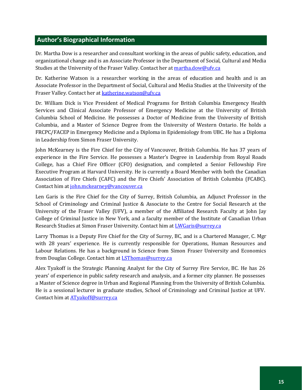# **Author's Biographical Information**

Dr. Martha Dow is a researcher and consultant working in the areas of public safety, education, and organizational change and is an Associate Professor in the Department of Social, Cultural and Media Studies at the University of the Fraser Valley. Contact her at [martha.dow@ufv.ca](mailto:martha.dow@ufv.ca)

Dr. Katherine Watson is a researcher working in the areas of education and health and is an Associate Professor in the Department of Social, Cultural and Media Studies at the University of the Fraser Valley. Contact her at [katherine.watson@ufv.ca](mailto:katherine.watson@ufv.ca)

Dr. William Dick is Vice President of Medical Programs for British Columbia Emergency Health Services and Clinical Associate Professor of Emergency Medicine at the University of British Columbia School of Medicine. He possesses a Doctor of Medicine from the University of British Columbia, and a Master of Science Degree from the University of Western Ontario. He holds a FRCPC/FACEP in Emergency Medicine and a Diploma in Epidemiology from UBC. He has a Diploma in Leadership from Simon Fraser University.

John McKearney is the Fire Chief for the City of Vancouver, British Columbia. He has 37 years of experience in the Fire Service. He possesses a Master's Degree in Leadership from Royal Roads College, has a Chief Fire Officer (CFO) designation, and completed a Senior Fellowship Fire Executive Program at Harvard University. He is currently a Board Member with both the Canadian Association of Fire Chiefs (CAFC) and the Fire Chiefs' Association of British Columbia (FCABC). Contact him a[t john.mckearney@vancouver.ca](mailto:john.mckearney@vancouver.ca)

Len Garis is the Fire Chief for the City of Surrey, British Columbia, an Adjunct Professor in the School of Criminology and Criminal Justice & Associate to the Centre for Social Research at the University of the Fraser Valley (UFV), a member of the Affiliated Research Faculty at John Jay College of Criminal Justice in New York, and a faculty member of the Institute of Canadian Urban Research Studies at Simon Fraser University. Contact him at [LWGaris@surrey.ca](mailto:LWGaris@surrey.ca)

Larry Thomas is a Deputy Fire Chief for the City of Surrey, BC, and is a Chartered Manager, C. Mgr with 28 years' experience. He is currently responsible for Operations, Human Resources and Labour Relations. He has a background in Science from Simon Fraser University and Economics from Douglas College. Contact him at **LSThomas@surrey.ca** 

Alex Tyakoff is the Strategic Planning Analyst for the City of Surrey Fire Service, BC. He has 26 years' of experience in public safety research and analysis, and a former city planner. He possesses a Master of Science degree in Urban and Regional Planning from the University of British Columbia. He is a sessional lecturer in graduate studies, School of Criminology and Criminal Justice at UFV. Contact him at **ATyakoff@surrey.ca**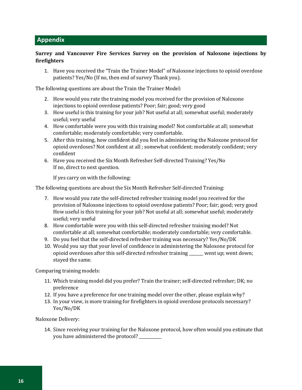# **Appendix**

## **Surrey and Vancouver Fire Services Survey on the provision of Naloxone injections by firefighters**

1. Have you received the "Train the Trainer Model" of Naloxone injections to opioid overdose patients? Yes/No (If no, then end of survey Thank you).

The following questions are about the Train the Trainer Model:

- 2. How would you rate the training model you received for the provision of Naloxone injections to opioid overdose patients? Poor; fair; good; very good
- 3. How useful is this training for your job? Not useful at all; somewhat useful; moderately useful; very useful
- 4. How comfortable were you with this training model? Not comfortable at all; somewhat comfortable; moderately comfortable; very comfortable.
- 5. After this training, how confident did you feel in administering the Naloxone protocol for opioid overdoses? Not confident at all ; somewhat confident; moderately confident; very confident
- 6. Have you received the Six Month Refresher Self-directed Training? Yes/No If no, direct to next question.

If yes carry on with the following:

The following questions are about the Six Month Refresher Self-directed Training:

- 7. How would you rate the self-directed refresher training model you received for the provision of Naloxone injections to opioid overdose patients? Poor; fair; good; very good How useful is this training for your job? Not useful at all; somewhat useful; moderately useful; very useful
- 8. How comfortable were you with this self-directed refresher training model? Not comfortable at all; somewhat comfortable; moderately comfortable; very comfortable.
- 9. Do you feel that the self-directed refresher training was necessary? Yes/No/DK
- 10. Would you say that your level of confidence in administering the Naloxone protocol for opioid overdoses after this self-directed refresher training \_\_\_\_\_\_\_ went up; went down; stayed the same.

Comparing training models:

- 11. Which training model did you prefer? Train the trainer; self-directed refresher; DK; no preference
- 12. If you have a preference for one training model over the other, please explain why?
- 13. In your view, is more training for firefighters in opioid overdose protocols necessary? Yes/No/DK

Naloxone Delivery:

14. Since receiving your training for the Naloxone protocol, how often would you estimate that you have administered the protocol?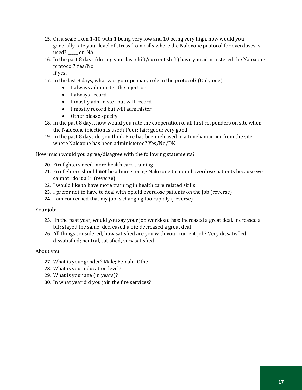- 15. On a scale from 1-10 with 1 being very low and 10 being very high, how would you generally rate your level of stress from calls where the Naloxone protocol for overdoses is used? \_\_\_\_\_ or NA
- 16. In the past 8 days (during your last shift/current shift) have you administered the Naloxone protocol? Yes/No

If yes,

- 17. In the last 8 days, what was your primary role in the protocol? (Only one)
	- I always administer the injection
	- I always record
	- I mostly administer but will record
	- I mostly record but will administer
	- Other please specify
- 18. In the past 8 days, how would you rate the cooperation of all first responders on site when the Naloxone injection is used? Poor; fair; good; very good
- 19. In the past 8 days do you think Fire has been released in a timely manner from the site where Naloxone has been administered? Yes/No/DK

How much would you agree/disagree with the following statements?

- 20. Firefighters need more health care training
- 21. Firefighters should **not** be administering Naloxone to opioid overdose patients because we cannot "do it all". (reverse)
- 22. I would like to have more training in health care related skills
- 23. I prefer not to have to deal with opioid overdose patients on the job (reverse)
- 24. I am concerned that my job is changing too rapidly (reverse)

Your job:

- 25. In the past year, would you say your job workload has: increased a great deal, increased a bit; stayed the same; decreased a bit; decreased a great deal
- 26. All things considered, how satisfied are you with your current job? Very dissatisfied; dissatisfied; neutral, satisfied, very satisfied.

#### About you:

- 27. What is your gender? Male; Female; Other
- 28. What is your education level?
- 29. What is your age (in years)?
- 30. In what year did you join the fire services?